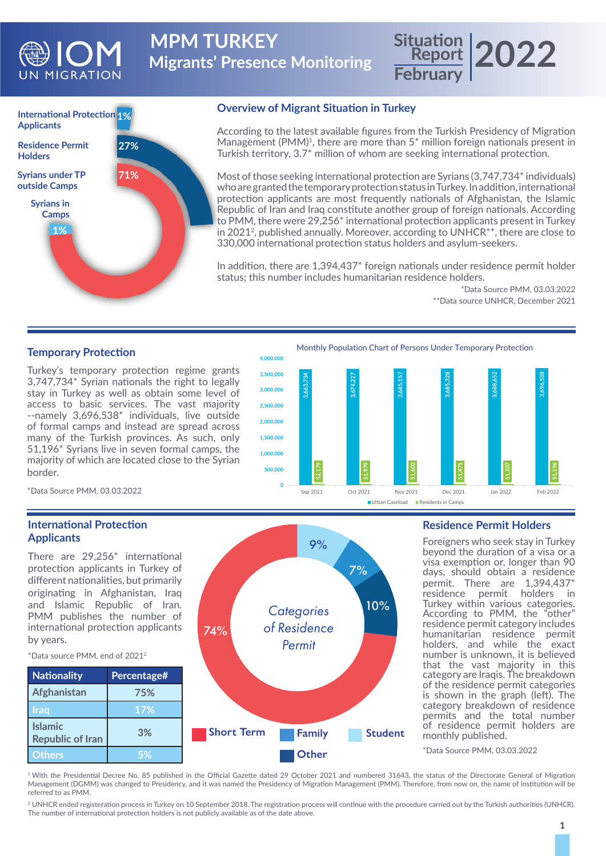

**Migrants' Presence Monitoring MPM TURKEY** 

# **Report February 2022**



### **Overview of Migrant Situation in Turkey**

According to the latest available figures from the Turkish Presidency of Migration Management (PMM)<sup>1</sup>, there are more than  $5^*$  million foreign nationals present in Turkish territory, 3.7\* million of whom are seeking international protection.

Most of those seeking international protection are Syrians (3,747,734\* individuals) who are granted the temporary protection status in Turkey. In addition, international protection applicants are most frequently nationals of Afghanistan, the Islamic Republic of Iran and Iraq constitute another group of foreign nationals. According to PMM, there were 29,256\* international protection applicants present in Turkey in 20212, published annually. Moreover, according to UNHCR\*\*, there are close to 330,000 international protection status holders and asylum-seekers.

In addition, there are 1,394,437\* foreign nationals under residence permit holder status; this number includes humanitarian residence holders.

> \*Data Source PMM, 03.03.2022 \*\*Data source UNHCR, December 2021

## **Temporary Protection**

Turkey's temporary protection regime grants 3,747,734\* Syrian nationals the right to legally stay in Turkey as well as obtain some level of access to basic services. The vast majority --namely 3,696,538\* individuals, live outside of formal camps and instead are spread across many of the Turkish provinces. As such, only 51,196\* Syrians live in seven formal camps, the majority of which are located close to the Syrian border.





\*Data Source PMM, 03.03.2022

## **International Protection Applicants**

There are 29,256\* international protection applicants in Turkey of different nationalities, but primarily originating in Afghanistan, Iraq and Islamic Republic of Iran. PMM publishes the number of international protection applicants by years.



74%

#### **Residence Permit Holders**

Foreigners who seek stay in Turkey beyond the duration of a visa or a visa exemption or, longer than 90 days, should obtain a residence permit. There are 1,394,437\* residence permit holders in Turkey within various categories. According to PMM, the "other" residence permit category includes humanitarian residence permit holders, and while the exact number is unknown, it is believed that the vast majority in this category are Iraqis. The breakdown of the residence permit categories is shown in the graph (left). The category breakdown of residence permits and the total number of residence permit holders are monthly published.

\*Data Source PMM, 03.03.2022

<sup>1</sup>With the Presidential Decree No. 85 published in the Official Gazette dated 29 October 2021 and numbered 31643, the status of the Directorate General of Migration Management (DGMM) was changed to Presidency, and it was named the Presidency of Migration Management (PMM). Therefore, from now on, the name of institution will be referred to as PMM.

*Categories of Residence* 

9%

7%

10%

2 UNHCR ended registeration process in Turkey on 10 September 2018. The registration process will continue with the procedure carried out by the Turkish authorities (UNHCR). The number of international protection holders is not publicly available as of the date above.